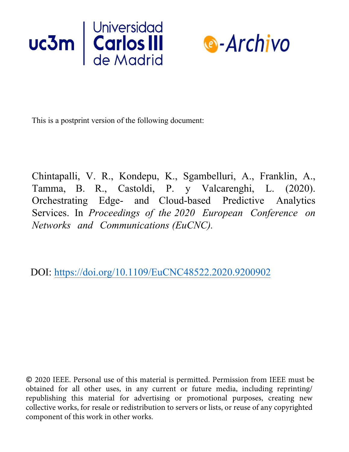



This is a postprint version of the following document:

Chintapalli, V. R., Kondepu, K., Sgambelluri, A., Franklin, A., Tamma, B. R., Castoldi, P. y Valcarenghi, L. (2020). Orchestrating Edge- and Cloud-based Predictive Analytics Services. In *Proceedings of the 2020 European Conference on Networks and Communications (EuCNC).*

DOI: https://doi.org/10.1109/EuCNC48522.2020.9200902

© 2020 IEEE. Personal use of this material is permitted. Permission from IEEE must be obtained for all other uses, in any current or future media, including reprinting/ republishing this material for advertising or promotional purposes, creating new collective works, for resale or redistribution to servers or lists, or reuse of any copyrighted component of this work in other works.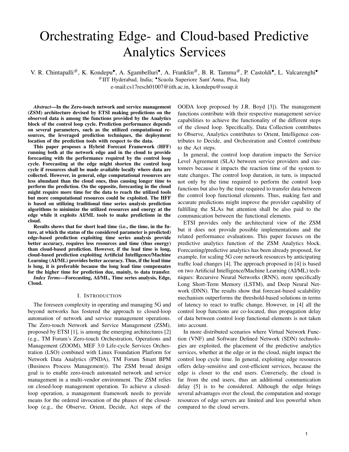# Orchestrating Edge- and Cloud-based Predictive Analytics Services

V. R. Chintapalli<sup>#</sup>, K. Kondepu<sup>•</sup>, A. Sgambelluri<sup>•</sup>, A. Franklin<sup>#</sup>, B. R. Tamma<sup>#</sup>, P. Castoldi<sup>•</sup>, L. Valcarenghi<sup>•</sup> #IIT Hyderabad, India; •Scuola Superiore Sant'Anna, Pisa, Italy e-mail:cs17resch01007@iith.ac.in, k.kondepu@sssup.it

*Abstract*—In the Zero-touch network and service management (ZSM) architecture devised by ETSI making predictions on the observed data is among the functions provided by the Analytics block of the control loop cycle. Prediction performance depends on several parameters, such as the utilized computational resources, the leveraged prediction techniques, the deployment location of the prediction tools with respect to the data.

This paper proposes a Hybrid Forecast Framework (HFF) running both at the network edge and in the cloud to provide forecasting with the performance required by the control loop cycle. Forecasting at the edge might shorten the control loop cycle if resources shall be made available locally where data are collected. However, in general, edge computational resources are less abundant than the cloud ones, thus causing longer time to perform the prediction. On the opposite, forecasting in the cloud might require more time for the data to reach the utilized tools but more computational resources could be exploited. The HFF is based on utilizing traditional time series analysis prediction algorithms to minimize the utilized resources and energy at the edge while it exploits AI/ML tools to make predictions in the cloud.

Results shows that for short lead time (i.e., the time, in the future, at which the status of the considered parameter is predicted) edge-based prediction exploiting time series analysis provide better accuracy, requires less resources and time (thus energy) than cloud-based prediction. However, if the lead time is long, cloud-based prediction exploiting Artificial Intelligence/Machine Learning (AI/ML) provides better accuracy. Thus, if the lead time is long, it is preferable because the long lead time compensates for the higher time for prediction due, mainly, to data transfer.

*Index Terms*—Forecasting, AI/ML, Time series analysis, Edge, Cloud.

# I. INTRODUCTION

The foreseen complexity in operating and managing 5G and beyond networks has fostered the approach to closed-loop automation of network and service management operations. The Zero-touch Network and Service Management (ZSM), proposed by ETSI [1], is among the emerging architectures [2] (e.g., TM Forum's Zero-touch Orchestration, Operations and Management (ZOOM), MEF 3.0 Life-cycle Services Orchestration (LSO) combined with Linux Foundation Platform for Network Data Analytics (PNDA), TM Forum Smart BPM (Business Process Management)). The ZSM broad design goal is to enable zero-touch automated network and service management in a multi-vendor environment. The ZSM relies on closed-loop management operation. To achieve a closedloop operation, a management framework needs to provide means for the ordered invocation of the phases of the closedloop (e.g., the Observe, Orient, Decide, Act steps of the OODA loop proposed by J.R. Boyd [3]). The management functions contribute with their respective management service capabilities to achieve the functionality of the different steps of the closed loop. Specifically, Data Collection contributes to Observe, Analytics contributes to Orient, Intelligence contributes to Decide, and Orchestration and Control contribute to the Act steps.

In general, the control loop duration impacts the Service Level Agreement (SLA) between service providers and customers because it impacts the reaction time of the system to state changes. The control loop duration, in turn, is impacted not only by the time required to perform the control loop functions but also by the time required to transfer data between the control loop functional elements. Thus, making fast and accurate predictions might improve the provider capability of fulfilling the SLAs but attention shall be also paid to the communication between the functional elements.

ETSI provides only the architectural view of the ZSM but it does not provide possible implementations and the related performance evaluations. This paper focuses on the predictive analytics function of the ZSM Analytics block. Forecasting/predictive analytics has been already proposed, for example, for scaling 5G core network resources by anticipating traffic load changes [4]. The approach proposed in [4] is based on two Artificial Intelligence/Machine Learning (AI/ML) techniques: Recursive Neural Networks (RNN), more specifically Long Short-Term Memory (LSTM), and Deep Neural Network (DNN). The results show that forecast-based scalability mechanism outperforms the threshold-based solutions in terms of latency to react to traffic change. However, in [4] all the control loop functions are co-located, thus propagation delay of data between control loop functional elements is not taken into account.

In more distributed scenarios where Virtual Network Function (VNF) and Software Defined Network (SDN) technologies are exploited, the placement of the predictive analytics services, whether at the edge or in the cloud, might impact the control loop cycle time. In general, exploiting edge resources offers delay-sensitive and cost-efficient services, because the edge is closer to the end users. Conversely, the cloud is far from the end users, thus an additional communication delay [5] is to be considered. Although the edge brings several advantages over the cloud, the computation and storage resources of edge servers are limited and less powerful when compared to the cloud servers.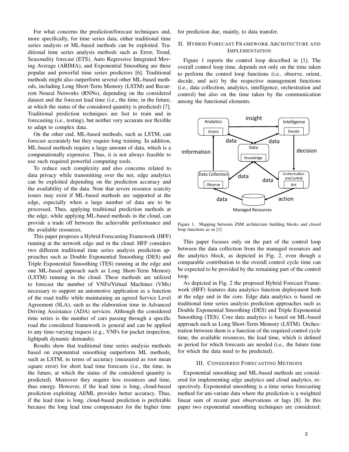For what concerns the prediction/forecast techniques and, more specifically, for time series data, either traditional time series analysis or ML-based methods can be exploited. Traditional time series analysis methods such as Error, Trend, Seasonality forecast (ETS), Auto Regressive Integrated Moving Average (ARIMA), and Exponential Smoothing are three popular and powerful time series predictors [6]. Traditional methods might also outperform several other ML-based methods, including Long Short-Term Memory (LSTM) and Recurrent Neural Networks (RNNs), depending on the considered dataset and the forecast lead time (i.e., the time, in the future, at which the status of the considered quantity is predicted) [7]. Traditional prediction techniques are fast to train and in forecasting (i.e., testing), but neither very accurate nor flexible to adapt to complex data.

On the other end, ML-based methods, such as LSTM, can forecast accurately but they require long training. In addition, ML-based methods require a large amount of data, which is a computationally expensive. Thus, it is not always feasible to use such required powerful computing tools.

To reduce such complexity and also concerns related to data privacy while transmitting over the net, edge analytics can be exploited depending on the prediction accuracy and the availability of the data. Note that severe resource scarcity issues may exist if ML-based methods are supported at the edge, especially when a large number of data are to be processed. Thus, applying traditional prediction methods at the edge, while applying ML-based methods in the cloud, can provide a trade off between the achievable performance and the available resources.

This paper proposes a Hybrid Forecasting Framework (HFF) running at the network edge and in the cloud. HFF considers two different traditional time series analysis prediction approaches such as Double Exponential Smoothing (DES) and Triple Exponential Smoothing (TES) running at the edge and one ML-based approach such as Long Short-Term Memory (LSTM) running in the cloud. These methods are utilized to forecast the number of VNFs/Virtual Machines (VMs) necessary to support an automotive application as a function of the road traffic while maintaining an agreed Service Level Agreement (SLA), such as the elaboration time in Advanced Driving Assistance (ADA) services. Although the considered time series is the number of cars passing through a specific road the considered framework is general and can be applied to any time-varying request (e.g., VNFs for packet inspection, lightpath dynamic demands).

Results show that traditional time series analysis methods based on exponential smoothing outperform ML methods, such as LSTM, in terms of accuracy (measured as root mean square error) for short lead time forecasts (i.e., the time, in the future, at which the status of the considered quantity is predicted). Moreover they require less resources and time, thus energy. However, if the lead time is long, cloud-based prediction exploiting AI/ML provides better accuracy. Thus, if the lead time is long, cloud-based prediction is preferable because the long lead time compensates for the higher time for prediction due, mainly, to data transfer.

# II. HYBRID FORECAST FRAMEWORK ARCHITECTURE AND IMPLEMENTATION

Figure 1 reports the control loop described in [1]. The overall control loop time, depends not only on the time taken to perform the control loop functions (i.e., observe, orient, decide, and act) by the respective management functions (i.e., data collection, analytics, intelligence, orchestration and control) but also on the time taken by the communication among the functional elements.



Figure 1. Mapping between ZSM architecture building blocks and closed loop functions as in [1]

This paper focuses only on the part of the control loop between the data collection from the managed resources and the analytics block, as depicted in Fig. 2, even though a comparable contribution to the overall control cycle time can be expected to be provided by the remaining part of the control loop.

As depicted in Fig. 2 the proposed Hybrid Forecast Framework (HFF) features data analytics function deployment both at the edge and in the core. Edge data analytics is based on traditional time series analysis prediction approaches such as Double Exponential Smoothing (DES) and Triple Exponential Smoothing (TES). Core data analytics is based on ML-based approach such as Long Short-Term Memory (LSTM). Orchestration between them is a function of the required control cycle time, the available resources, the lead time, which is defined as period for which forecasts are needed (i.e., the future time for which the data need to be predicted).

# III. CONSIDERED FORECASTING METHODS

Exponential smoothing and ML-based methods are considered for implementing edge analytics and cloud analytics, respectively. Exponential smoothing is a time series forecasting method for uni-variate data where the prediction is a weighted linear sum of recent past observations or lags [8]. In this paper two exponential smoothing techniques are considered: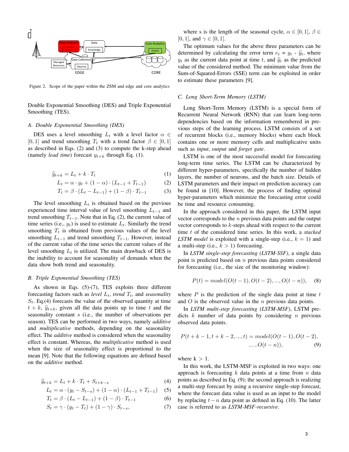

Figure 2. Scope of the paper within the ZSM and edge and core analytics

Double Exponential Smoothing (DES) and Triple Exponential Smoothing (TES).

# *A. Double Exponential Smoothing (DES)*

DES uses a level smoothing  $L_t$  with a level factor  $\alpha \in$ [0, 1] and trend smoothing  $T_t$  with a trend factor  $\beta \in [0, 1]$ as described in Eqs. (2) and (3) to compute the k-step ahead (namely *lead time*) forecast  $y_{t+k}$  through Eq. (1).

$$
\widehat{y}_{t+k} = L_t + k \cdot T_t \tag{1}
$$

$$
L_t = \alpha \cdot y_t + (1 - \alpha) \cdot (L_{t-1} + T_{t-1}) \tag{2}
$$

$$
T_t = \beta \cdot (L_t - L_{t-1}) + (1 - \beta) \cdot T_{t-1}
$$
 (3)

The level smoothing  $L_t$  is obtained based on the previous experienced time interval value of level smoothing  $L_{t-1}$  and trend smoothing  $T_{t-1}$ . Note that in Eq. (2), the current value of time series (i.e.,  $y_t$ ) is used to estimate  $L_t$ . Similarly the trend smoothing  $T_t$  is obtained from previous values of the level smoothing  $L_{t-1}$  and trend smoothing  $T_{t-1}$ . However, instead of the current value of the time series the current values of the level smoothing  $L_t$  is utilized. The main drawback of DES is the inability to account for seasonality of demands when the data show both trend and seasonality.

#### *B. Triple Exponential Smoothing (TES)*

As shown in Eqs. (5)-(7), TES exploits three different forecasting factors such as *level*  $L_t$ , *trend*  $T_t$ , and *seasonality*  $S_t$ . Eq.(4) forecasts the value of the observed quantity at time  $t + k$ ,  $\hat{y}_{t+k}$ , given all the data points up to time t and the seasonality constant s (i.e., the number of observations per season). TES can be performed in two ways, namely *additive* and *multiplicative* methods, depending on the seasonality effect. The *additive* method is considered when the seasonality effect is constant. Whereas, the *multiplicative* method is used when the size of seasonality effect is proportional to the mean [9]. Note that the following equations are defined based on the *additive* method.

$$
\widehat{y}_{t+k} = L_t + k \cdot T_t + S_{t+k-s} \tag{4}
$$

$$
L_t = \alpha \cdot (y_t - S_{t-s}) + (1 - \alpha) \cdot (L_{t-1} + T_{t-1}) \quad (5)
$$

$$
T_t = \beta \cdot (L_t - L_{t-1}) + (1 - \beta) \cdot T_{t-1} \tag{6}
$$

$$
S_t = \gamma \cdot (y_t - T_t) + (1 - \gamma) \cdot S_{t-s},\tag{7}
$$

where s is the length of the seasonal cycle,  $\alpha \in [0,1], \beta \in$ [0, 1], and  $\gamma \in [0, 1]$ .

The optimum values for the above three parameters can be determined by calculating the error term  $e_t = y_t - \hat{y}_t$ , where  $y_t$  as the current data point at time t, and  $\hat{y}_t$  as the predicted value of the considered method. The minimum value from the Sum-of-Squared-Errors (SSE) term can be exploited in order to estimate these parameters [9].

#### *C. Long Short-Term Memory (LSTM)*

Long Short-Term Memory (LSTM) is a special form of Recurrent Neural Network (RNN) that can learn long-term dependencies based on the information remembered in previous steps of the learning process. LSTM consists of a set of recurrent blocks (i.e., memory blocks) where each block contains one or more memory cells and multiplicative units such as *input*, *output* and *forget gate*.

LSTM is one of the most successful model for forecasting long-term time series. The LSTM can be characterized by different hyper-parameters, specifically the number of hidden layers, the number of neurons, and the batch size. Details of LSTM parameters and their impact on prediction accuracy can be found in [10]. However, the process of finding optimal hyper-parameters which minimize the forecasting error could be time and resource consuming.

In the approach considered in this paper, the LSTM input vector corresponds to the  $n$  previous data points and the output vector corresponds to  $k$ -steps ahead with respect to the current time t of the considered time series. In this work, a *stacked LSTM model* is exploited with a single-step (i.e.,  $k = 1$ ) and a multi-step (i.e.,  $k > 1$ ) forecasting.

In *LSTM single-step forecasting (LSTM-SSF)*, a single data point is predicted based on  $n$  previous data points considered for forecasting (i.e., the size of the monitoring window):

$$
P(t) = model(O(t-1), O(t-2), ..., O(t-n)),
$$
 (8)

where  $P$  is the prediction of the single data point at time  $t$ and  $O$  is the observed value in the  $n$  previous data points.

In *LSTM multi-step forecasting (LSTM-MSF)*, LSTM predicts  $k$  number of data points by considering  $n$  previous observed data points.

$$
P(t+k-1, t+k-2, ..., t) = model(O(t-1), O(t-2),
$$
  
...,  $O(t-n)$ ), (9)

where  $k > 1$ .

In this work, the LSTM-MSF is exploited in two ways: one approach is forecasting  $k$  data points at a time from  $n$  data points as described in Eq. (9); the second approach is realizing a multi-step forecast by using a recursive single-step forecast, where the forecast data value is used as an input to the model by replacing  $t - n$  data point as defined in Eq. (10). The latter case is referred to as *LSTM-MSF-recursive*.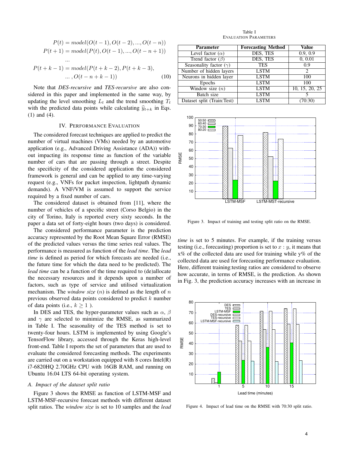$$
P(t) = model(O(t-1), O(t-2), ..., O(t-n))
$$
  
\n
$$
P(t+1) = model(P(t), O(t-1), ..., O(t-n+1))
$$
  
\n...\n
$$
P(t+k-1) = model(P(t+k-2), P(t+k-3),
$$
  
\n...\n
$$
O(t-n+k-1))
$$
\n(10)

Note that *DES-recursive* and *TES-recursive* are also considered in this paper and implemented in the same way, by updating the level smoothing  $L_t$  and the trend smoothing  $T_t$ with the predicted data points while calculating  $\hat{y}_{t+k}$  in Eqs. (1) and (4).

### IV. PERFORMANCE EVALUATION

The considered forecast techniques are applied to predict the number of virtual machines (VMs) needed by an automotive application (e.g., Advanced Driving Assistance (ADA)) without impacting its response time as function of the variable number of cars that are passing through a street. Despite the specificity of the considered application the considered framework is general and can be applied to any time-varying request (e.g., VNFs for packet inspection, lightpath dynamic demands). A VNF/VM is assumed to support the service required by a fixed number of cars.

The considered dataset is obtained from [11], where the number of vehicles of a specific street (Corso Belgio) in the city of Torino, Italy is reported every sixty seconds. In the paper a data set of forty-eight hours (two days) is considered.

The considered performance parameter is the prediction accuracy represented by the Root Mean Square Error (RMSE) of the predicted values versus the time series real values. The performance is measured as function of the *lead time*. The *lead time* is defined as period for which forecasts are needed (i.e., the future time for which the data need to be predicted). The *lead time* can be a function of the time required to (de)allocate the necessary resources and it depends upon a number of factors, such as type of service and utilised virtualization mechanism. The *window size*  $(n)$  is defined as the length of n previous observed data points considered to predict  $k$  number of data points (i.e.,  $k > 1$ ).

In DES and TES, the hyper-parameter values such as  $\alpha$ ,  $\beta$ and  $\gamma$  are selected to minimize the RMSE, as summarized in Table I. The seasonality of the TES method is set to twenty-four hours. LSTM is implemented by using Google's TensorFlow library, accessed through the Keras high-level front-end. Table I reports the set of parameters that are used to evaluate the considered forecasting methods. The experiments are carried out on a workstation equipped with 8 cores Intel(R) i7-6820HQ 2.70GHz CPU with 16GB RAM, and running on Ubuntu 16.04 LTS 64-bit operating system.

#### *A. Impact of the dataset split ratio*

Figure 3 shows the RMSE as function of LSTM-MSF and LSTM-MSF-recursive forecast methods with different dataset split ratios. The *window size* is set to 10 samples and the *lead*

Table I EVALUATION PARAMETERS

| <b>Parameter</b>              | <b>Forecasting Method</b> | Value          |
|-------------------------------|---------------------------|----------------|
| Level factor $(\alpha)$       | DES, TES                  | 0.9, 0.9       |
| Trend factor $(\beta)$        | DES, TES                  | 0, 0.01        |
| Seasonality factor $(\gamma)$ | <b>TES</b>                | 0.9            |
| Number of hidden layers       | <b>LSTM</b>               | 2              |
| Neurons in hidden layer       | <b>LSTM</b>               | 100            |
| Epochs                        | <b>LSTM</b>               | 100            |
| Window size $(n)$             | <b>LSTM</b>               | 10, 15, 20, 25 |
| Batch size                    | <b>LSTM</b>               |                |
| Dataset split (Train:Test)    | <b>LSTM</b>               |                |



Figure 3. Impact of training and testing split ratio on the RMSE.

*time* is set to 5 minutes. For example, if the training versus testing (i.e., forecasting) proportion is set to  $x : y$ , it means that  $x\%$  of the collected data are used for training while  $y\%$  of the collected data are used for forecasting performance evaluation. Here, different training:testing ratios are considered to observe how accurate, in terms of RMSE, is the prediction. As shown in Fig. 3, the prediction accuracy increases with an increase in



Figure 4. Impact of lead time on the RMSE with 70:30 split ratio.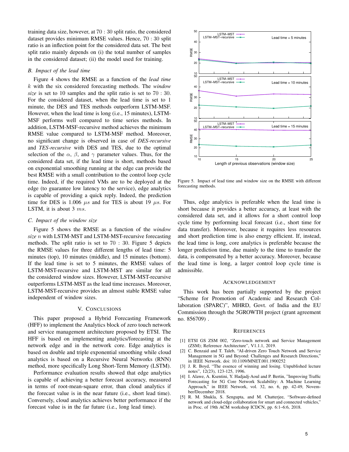training data size, however, at 70 : 30 split ratio, the considered dataset provides minimum RMSE values. Hence, 70 : 30 split ratio is an inflection point for the considered data set. The best split ratio mainly depends on (i) the total number of samples in the considered dataset; (ii) the model used for training.

### *B. Impact of the lead time*

Figure 4 shows the RMSE as a function of the *lead time* k with the six considered forecasting methods. The *window size* is set to 10 samples and the split ratio is set to 70 : 30. For the considered dataset, when the lead time is set to 1 minute, the DES and TES methods outperform LSTM-MSF. However, when the lead time is long (i.e., 15 minutes), LSTM-MSF performs well compared to time series methods. In addition, LSTM-MSF-recursive method achieves the minimum RMSE value compared to LSTM-MSF method. Moreover, no significant change is observed in case of *DES-recursive* and *TES-recursive* with DES and TES, due to the optimal selection of the  $\alpha$ ,  $\beta$ , and  $\gamma$  parameter values. Thus, for the considered data set, if the lead time is short, methods based on exponential smoothing running at the edge can provide the best RMSE with a small contribution to the control loop cycle time. Indeed, if the required VMs are to be deployed at the edge (to guarantee low latency to the service), edge analytics is capable of providing a quick reply. Indeed, the prediction time for DES is 1.006  $\mu s$  and for TES is about 19  $\mu s$ . For LSTM, it is about 3  $ms$ .

# *C. Impact of the window size*

Figure 5 shows the RMSE as a function of the *window size* n with LSTM-MST and LSTM-MST-recursive forecasting methods. The split ratio is set to 70 : 30. Figure 5 depicts the RMSE values for three different lengths of lead time: 5 minutes (top), 10 minutes (middle), and 15 minutes (bottom). If the lead time is set to 5 minutes, the RMSE values of LSTM-MST-recursive and LSTM-MST are similar for all the considered window sizes. However, LSTM-MST-recursive outperforms LSTM-MST as the lead time increases. Moreover, LSTM-MST-recursive provides an almost stable RMSE value independent of window sizes.

### V. CONCLUSIONS

This paper proposed a Hybrid Forecasting Framework (HFF) to implement the Analytics block of zero touch network and service management architecture proposed by ETSI. The HFF is based on implementing analytics/forecasting at the network edge and in the network core. Edge analytics is based on double and triple exponential smoothing while cloud analytics is based on a Recursive Neural Networks (RNN) method, more specifically Long Short-Term Memory (LSTM).

Performance evaluation results showed that edge analytics is capable of achieving a better forecast accuracy, measured in terms of root-mean-square error, than cloud analytics if the forecast value is in the near future (i.e., short lead time). Conversely, cloud analytics achieves better performance if the forecast value is in the far future (i.e., long lead time).



Figure 5. Impact of lead time and window size on the RMSE with different forecasting methods.

Thus, edge analytics is preferable when the lead time is short because it provides a better accuracy, at least with the considered data set, and it allows for a short control loop cycle time by performing local forecast (i.e., short time for data transfer). Moreover, because it requires less resources and short prediction time is also energy efficient. If, instead, the lead time is long, core analytics is preferable because the longer prediction time, due mainly to the time to transfer the data, is compensated by a better accuracy. Moreover, because the lead time is long, a larger control loop cycle time is admissible.

#### ACKNOWLEDGEMENT

This work has been partially supported by the project "Scheme for Promotion of Academic and Research Collaboration (SPARC)", MHRD, Govt. of India and the EU Commission through the 5GROWTH project (grant agreement no. 856709) .

#### **REFERENCES**

- [1] ETSI GS ZSM 002, "Zero-touch network and Service Management (ZSM); Reference Architecture", V1.1.1, 2019.
- [2] C. Benzaid and T. Taleb, "AI-driven Zero Touch Network and Service Management in 5G and Beyond: Challenges and Research Directions," in IEEE Network. doi: 10.1109/MNET.001.1900252
- [3] J. R. Boyd, "The essence of winning and losing. Unpublished lecture notes", 12(23), 123-125, 1996.
- [4] I. Alawe, A. Ksentini, Y. Hadjadj-Aoul and P. Bertin, "Improving Traffic Forecasting for 5G Core Network Scalability: A Machine Learning Approach," in IEEE Network, vol. 32, no. 6, pp. 42-49, November/December 2018.
- [5] R. M. Shukla, S. Sengupta, and M. Chatterjee, "Software-defined network and cloud-edge collaboration for smart and connected vehicles," in Proc. of 19th ACM workshop ICDCN, pp. 6:1–6:6, 2018.